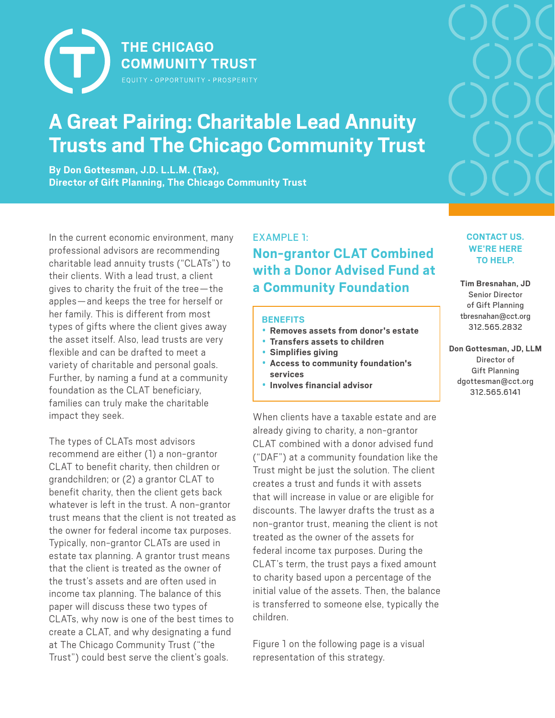

# **A Great Pairing: Charitable Lead Annuity Trusts and The Chicago Community Trust**

**By Don Gottesman, J.D. L.L.M. (Tax), Director of Gift Planning, The Chicago Community Trust**

In the current economic environment, many professional advisors are recommending charitable lead annuity trusts ("CLATs") to their clients. With a lead trust, a client gives to charity the fruit of the tree—the apples—and keeps the tree for herself or her family. This is different from most types of gifts where the client gives away the asset itself. Also, lead trusts are very flexible and can be drafted to meet a variety of charitable and personal goals. Further, by naming a fund at a community foundation as the CLAT beneficiary, families can truly make the charitable impact they seek.

The types of CLATs most advisors recommend are either (1) a non-grantor CLAT to benefit charity, then children or grandchildren; or (2) a grantor CLAT to benefit charity, then the client gets back whatever is left in the trust. A non-grantor trust means that the client is not treated as the owner for federal income tax purposes. Typically, non-grantor CLATs are used in estate tax planning. A grantor trust means that the client is treated as the owner of the trust's assets and are often used in income tax planning. The balance of this paper will discuss these two types of CLATs, why now is one of the best times to create a CLAT, and why designating a fund at The Chicago Community Trust ("the Trust") could best serve the client's goals.

## EXAMPLE 1: **Non-grantor CLAT Combined with a Donor Advised Fund at a Community Foundation**

#### **BENEFITS**

- **Removes assets from donor's estate**
- **Transfers assets to children**
- **Simplifies giving**
- **Access to community foundation's services**
- **Involves financial advisor**

When clients have a taxable estate and are already giving to charity, a non-grantor CLAT combined with a donor advised fund ("DAF") at a community foundation like the Trust might be just the solution. The client creates a trust and funds it with assets that will increase in value or are eligible for discounts. The lawyer drafts the trust as a non-grantor trust, meaning the client is not treated as the owner of the assets for federal income tax purposes. During the CLAT's term, the trust pays a fixed amount to charity based upon a percentage of the initial value of the assets. Then, the balance is transferred to someone else, typically the children.

Figure 1 on the following page is a visual representation of this strategy.



## **CONTACT US. WE'RE HERE TO HELP. Tim Bresnahan, JD**

Senior Director of Gift Planning tbresnahan@cct.org 312.565.2832

**Don Gottesman, JD, LLM** Director of Gift Planning [dgottesman@cct.org](mailto:dgottesman@cct.org) 312.565.6141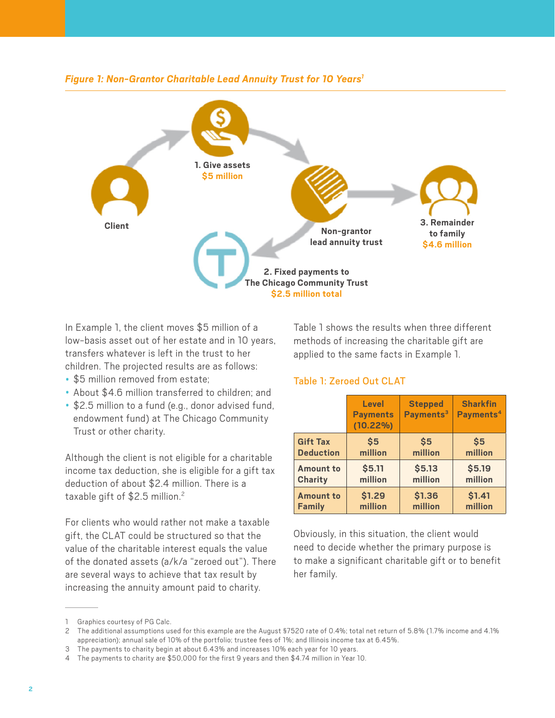

In Example 1, the client moves \$5 million of a low-basis asset out of her estate and in 10 years, transfers whatever is left in the trust to her children. The projected results are as follows:

- \$5 million removed from estate;
- About \$4.6 million transferred to children; and
- \$2.5 million to a fund (e.g., donor advised fund, endowment fund) at The Chicago Community Trust or other charity.

Although the client is not eligible for a charitable income tax deduction, she is eligible for a gift tax deduction of about \$2.4 million. There is a taxable gift of \$2.5 million.<sup>2</sup>

For clients who would rather not make a taxable gift, the CLAT could be structured so that the value of the charitable interest equals the value of the donated assets (a/k/a "zeroed out"). There are several ways to achieve that tax result by increasing the annuity amount paid to charity.

Table 1 shows the results when three different methods of increasing the charitable gift are applied to the same facts in Example 1.

## Table 1: Zeroed Out CLAT

|                  | <b>Level</b><br><b>Payments</b><br>$(10.22\%)$ | <b>Stepped</b><br>Payments <sup>3</sup> | <b>Sharkfin</b><br>Payments <sup>4</sup> |
|------------------|------------------------------------------------|-----------------------------------------|------------------------------------------|
| <b>Gift Tax</b>  | \$5                                            | \$5                                     | \$5                                      |
| <b>Deduction</b> | million                                        | million                                 | million                                  |
| <b>Amount to</b> | \$5.11                                         | \$5.13                                  | \$5.19                                   |
| <b>Charity</b>   | million                                        | million                                 | million                                  |
| <b>Amount to</b> | \$1.29                                         | \$1.36                                  | \$1.41                                   |
| <b>Family</b>    | million                                        | million                                 | million                                  |

Obviously, in this situation, the client would need to decide whether the primary purpose is to make a significant charitable gift or to benefit her family.

<sup>1</sup> Graphics courtesy of PG Calc.

<sup>2</sup> The additional assumptions used for this example are the August §7520 rate of 0.4%; total net return of 5.8% (1.7% income and 4.1% appreciation); annual sale of 10% of the portfolio; trustee fees of 1%; and Illinois income tax at 6.45%.

<sup>3</sup> The payments to charity begin at about 6.43% and increases 10% each year for 10 years.

<sup>4</sup> The payments to charity are \$50,000 for the first 9 years and then \$4.74 million in Year 10.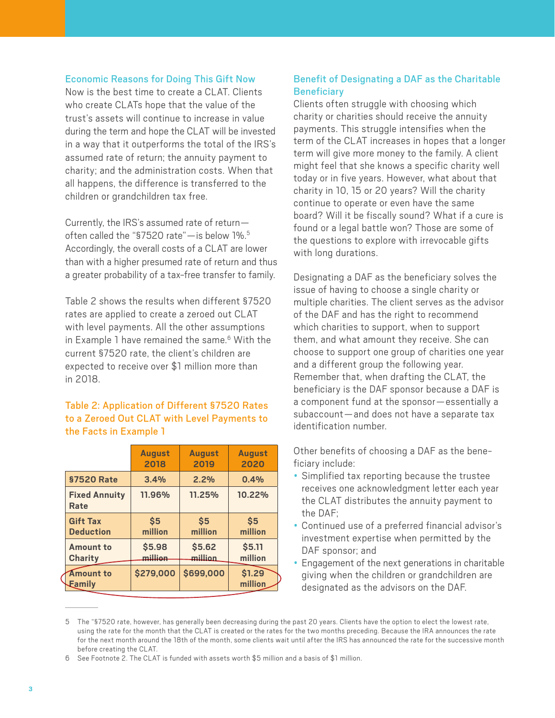#### Economic Reasons for Doing This Gift Now

Now is the best time to create a CLAT. Clients who create CLATs hope that the value of the trust's assets will continue to increase in value during the term and hope the CLAT will be invested in a way that it outperforms the total of the IRS's assumed rate of return; the annuity payment to charity; and the administration costs. When that all happens, the difference is transferred to the children or grandchildren tax free.

Currently, the IRS's assumed rate of return often called the "\$7520 rate"- is below 1%.<sup>5</sup> Accordingly, the overall costs of a CLAT are lower than with a higher presumed rate of return and thus a greater probability of a tax-free transfer to family.

Table 2 shows the results when different §7520 rates are applied to create a zeroed out CLAT with level payments. All the other assumptions in Example 1 have remained the same.<sup>6</sup> With the current §7520 rate, the client's children are expected to receive over \$1 million more than in 2018.

## Table 2: Application of Different §7520 Rates to a Zeroed Out CLAT with Level Payments to the Facts in Example 1

|                                     | <b>August</b><br>2018 | <b>August</b><br>2019 | <b>August</b><br>2020 |
|-------------------------------------|-----------------------|-----------------------|-----------------------|
| <b>§7520 Rate</b>                   | 3.4%                  | 2.2%                  | 0.4%                  |
| <b>Fixed Annuity</b><br>Rate        | 11.96%                | 11.25%                | 10.22%                |
| <b>Gift Tax</b><br><b>Deduction</b> | \$5<br>million        | \$5<br>million        | \$5<br>million        |
| <b>Amount to</b><br>Charity         | \$5.98<br>ممتللته     | \$5.62<br>million     | \$5.11<br>million     |
| Amount to<br>Eamily                 | \$279,000             | \$699,000             | \$1.29<br>million     |

## Benefit of Designating a DAF as the Charitable **Beneficiary**

Clients often struggle with choosing which charity or charities should receive the annuity payments. This struggle intensifies when the term of the CLAT increases in hopes that a longer term will give more money to the family. A client might feel that she knows a specific charity well today or in five years. However, what about that charity in 10, 15 or 20 years? Will the charity continue to operate or even have the same board? Will it be fiscally sound? What if a cure is found or a legal battle won? Those are some of the questions to explore with irrevocable gifts with long durations.

Designating a DAF as the beneficiary solves the issue of having to choose a single charity or multiple charities. The client serves as the advisor of the DAF and has the right to recommend which charities to support, when to support them, and what amount they receive. She can choose to support one group of charities one year and a different group the following year. Remember that, when drafting the CLAT, the beneficiary is the DAF sponsor because a DAF is a component fund at the sponsor—essentially a subaccount—and does not have a separate tax identification number.

Other benefits of choosing a DAF as the beneficiary include:

- Simplified tax reporting because the trustee receives one acknowledgment letter each year the CLAT distributes the annuity payment to the DAF;
- Continued use of a preferred financial advisor's investment expertise when permitted by the DAF sponsor; and
- Engagement of the next generations in charitable giving when the children or grandchildren are designated as the advisors on the DAF.

<sup>5</sup> The "§7520 rate, however, has generally been decreasing during the past 20 years. Clients have the option to elect the lowest rate, using the rate for the month that the CLAT is created or the rates for the two months preceding. Because the IRA announces the rate for the next month around the 18th of the month, some clients wait until after the IRS has announced the rate for the successive month before creating the CLAT.

<sup>6</sup> See Footnote 2. The CLAT is funded with assets worth \$5 million and a basis of \$1 million.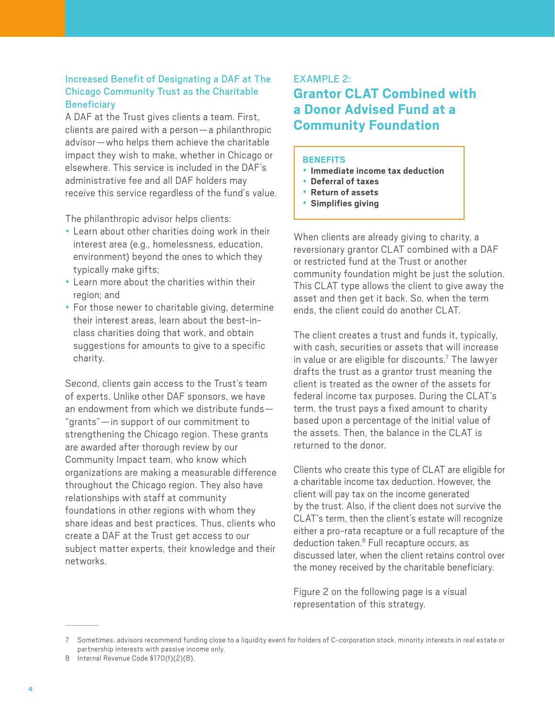## Increased Benefit of Designating a DAF at The Chicago Community Trust as the Charitable **Beneficiary**

A DAF at the Trust gives clients a team. First, clients are paired with a person—a philanthropic advisor—who helps them achieve the charitable impact they wish to make, whether in Chicago or elsewhere. This service is included in the DAF's administrative fee and all DAF holders may receive this service regardless of the fund's value.

The philanthropic advisor helps clients:

- Learn about other charities doing work in their interest area (e.g., homelessness, education, environment) beyond the ones to which they typically make gifts;
- Learn more about the charities within their region; and
- For those newer to charitable giving, determine their interest areas, learn about the best-inclass charities doing that work, and obtain suggestions for amounts to give to a specific charity.

Second, clients gain access to the Trust's team of experts. Unlike other DAF sponsors, we have an endowment from which we distribute funds— "grants"—in support of our commitment to strengthening the Chicago region. These grants are awarded after thorough review by our Community Impact team, who know which organizations are making a measurable difference throughout the Chicago region. They also have relationships with staff at community foundations in other regions with whom they share ideas and best practices. Thus, clients who create a DAF at the Trust get access to our subject matter experts, their knowledge and their networks.

#### EXAMPLE 2:

## **Grantor CLAT Combined with a Donor Advised Fund at a Community Foundation**

#### **BENEFITS**

- **Immediate income tax deduction**
- **Deferral of taxes**
- **Return of assets**
- **Simplifies giving**

When clients are already giving to charity, a reversionary grantor CLAT combined with a DAF or restricted fund at the Trust or another community foundation might be just the solution. This CLAT type allows the client to give away the asset and then get it back. So, when the term ends, the client could do another CLAT.

The client creates a trust and funds it, typically, with cash, securities or assets that will increase in value or are eligible for discounts.<sup>7</sup> The lawyer drafts the trust as a grantor trust meaning the client is treated as the owner of the assets for federal income tax purposes. During the CLAT's term, the trust pays a fixed amount to charity based upon a percentage of the initial value of the assets. Then, the balance in the CLAT is returned to the donor.

Clients who create this type of CLAT are eligible for a charitable income tax deduction. However, the client will pay tax on the income generated by the trust. Also, if the client does not survive the CLAT's term, then the client's estate will recognize either a pro-rata recapture or a full recapture of the deduction taken.<sup>8</sup> Full recapture occurs, as discussed later, when the client retains control over the money received by the charitable beneficiary.

Figure 2 on the following page is a visual representation of this strategy.

<sup>7</sup> Sometimes, advisors recommend funding close to a liquidity event for holders of C-corporation stock, minority interests in real estate or partnership interests with passive income only.

<sup>8</sup> Internal Revenue Code §170(f)(2)(B).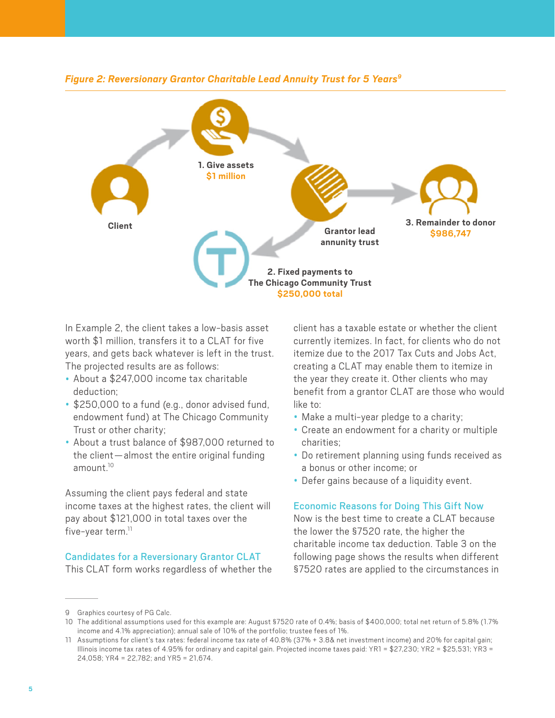

#### *Figure 2: Reversionary Grantor Charitable Lead Annuity Trust for 5 Years9*

In Example 2, the client takes a low-basis asset worth \$1 million, transfers it to a CLAT for five years, and gets back whatever is left in the trust. The projected results are as follows:

- About a \$247,000 income tax charitable deduction;
- \$250,000 to a fund (e.g., donor advised fund, endowment fund) at The Chicago Community Trust or other charity;
- About a trust balance of \$987,000 returned to the client—almost the entire original funding amount. $10$

Assuming the client pays federal and state income taxes at the highest rates, the client will pay about \$121,000 in total taxes over the five-year term. $<sup>11</sup>$ </sup>

#### Candidates for a Reversionary Grantor CLAT

This CLAT form works regardless of whether the

client has a taxable estate or whether the client currently itemizes. In fact, for clients who do not itemize due to the 2017 Tax Cuts and Jobs Act, creating a CLAT may enable them to itemize in the year they create it. Other clients who may benefit from a grantor CLAT are those who would like to:

- Make a multi-year pledge to a charity;
- Create an endowment for a charity or multiple charities;
- Do retirement planning using funds received as a bonus or other income; or
- Defer gains because of a liquidity event.

#### Economic Reasons for Doing This Gift Now

Now is the best time to create a CLAT because the lower the §7520 rate, the higher the charitable income tax deduction. Table 3 on the following page shows the results when different §7520 rates are applied to the circumstances in

<sup>9</sup> Graphics courtesy of PG Calc.

<sup>10</sup> The additional assumptions used for this example are: August §7520 rate of 0.4%; basis of \$400,000; total net return of 5.8% (1.7% income and 4.1% appreciation); annual sale of 10% of the portfolio; trustee fees of 1%.

<sup>11</sup> Assumptions for client's tax rates: federal income tax rate of 40.8% (37% + 3.8& net investment income) and 20% for capital gain; Illinois income tax rates of 4.95% for ordinary and capital gain. Projected income taxes paid: YR1 = \$27,230; YR2 = \$25,531; YR3 = 24,058; YR4 = 22,782; and YR5 = 21,674.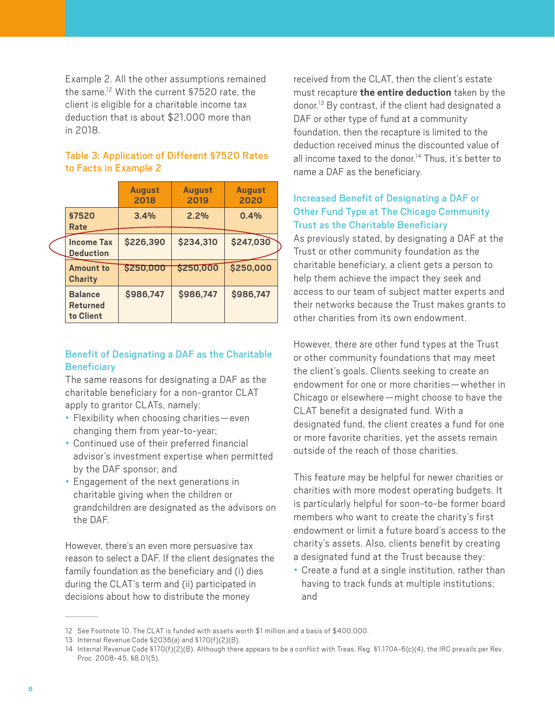Example 2. All the other assumptions remained the same.12 With the current §7520 rate, the client is eligible for a charitable income tax deduction that is about \$21,000 more than in 2018.

## Table 3: Application of Different §7520 Rates to Facts in Example 2

|                                                | <b>August</b><br>2018 | <b>August</b><br>2019 | <b>August</b><br>2020 |  |
|------------------------------------------------|-----------------------|-----------------------|-----------------------|--|
| <b>§7520</b><br>Rate                           | 3.4%                  | 2.2%                  | 0.4%                  |  |
| <b>Income Tax</b><br><b>Deduction</b>          | \$226,390             | \$234,310             | \$247,030             |  |
| <b>Amount to</b><br>Charity                    | \$250,000             | \$250,000             | \$250,000             |  |
| <b>Balance</b><br><b>Returned</b><br>to Client | \$986,747             | \$986,747             | \$986,747             |  |

## Benefit of Designating a DAF as the Charitable **Beneficiary**

The same reasons for designating a DAF as the charitable beneficiary for a non-grantor CLAT apply to grantor CLATs, namely:

- Flexibility when choosing charities—even changing them from year-to-year;
- Continued use of their preferred financial advisor's investment expertise when permitted by the DAF sponsor; and
- Engagement of the next generations in charitable giving when the children or grandchildren are designated as the advisors on the DAF.

However, there's an even more persuasive tax reason to select a DAF. If the client designates the family foundation as the beneficiary and (i) dies during the CLAT's term and (ii) participated in decisions about how to distribute the money

received from the CLAT, then the client's estate must recapture **the entire deduction** taken by the donor.13 By contrast, if the client had designated a DAF or other type of fund at a community foundation, then the recapture is limited to the deduction received minus the discounted value of all income taxed to the donor.<sup>14</sup> Thus, it's better to name a DAF as the beneficiary.

## Increased Benefit of Designating a DAF or Other Fund Type at The Chicago Community Trust as the Charitable Beneficiary

As previously stated, by designating a DAF at the Trust or other community foundation as the charitable beneficiary, a client gets a person to help them achieve the impact they seek and access to our team of subject matter experts and their networks because the Trust makes grants to other charities from its own endowment.

However, there are other fund types at the Trust or other community foundations that may meet the client's goals. Clients seeking to create an endowment for one or more charities—whether in Chicago or elsewhere—might choose to have the CLAT benefit a designated fund. With a designated fund, the client creates a fund for one or more favorite charities, yet the assets remain outside of the reach of those charities.

This feature may be helpful for newer charities or charities with more modest operating budgets. It is particularly helpful for soon-to-be former board members who want to create the charity's first endowment or limit a future board's access to the charity's assets. Also, clients benefit by creating a designated fund at the Trust because they:

• Create a fund at a single institution, rather than having to track funds at multiple institutions; and

<sup>12</sup> See Footnote 10. The CLAT is funded with assets worth \$1 million and a basis of \$400,000.

<sup>13</sup> Internal Revenue Code §2036(a) and §170(f)(2)(B).

<sup>14</sup> Internal Revenue Code §170(f)(2)(B). Although there appears to be a conflict with Treas. Reg. §1.170A-6(c)(4), the IRC prevails per Rev. Proc. 2008-45, §8.01(5).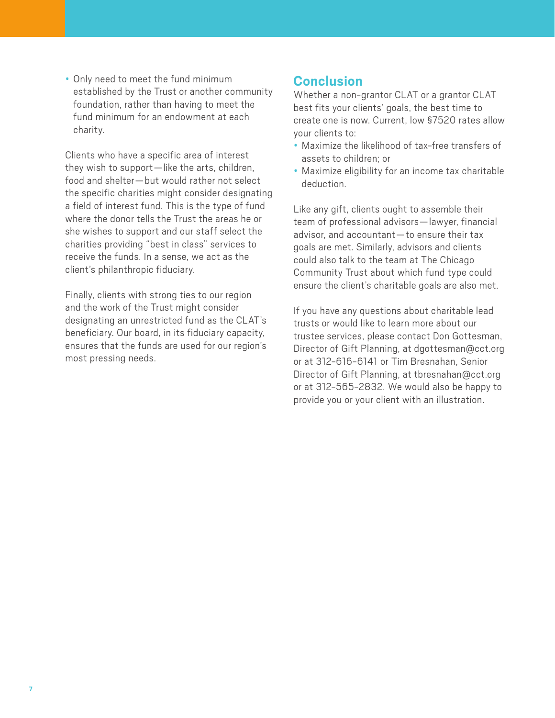• Only need to meet the fund minimum established by the Trust or another community foundation, rather than having to meet the fund minimum for an endowment at each charity.

Clients who have a specific area of interest they wish to support—like the arts, children, food and shelter—but would rather not select the specific charities might consider designating a field of interest fund. This is the type of fund where the donor tells the Trust the areas he or she wishes to support and our staff select the charities providing "best in class" services to receive the funds. In a sense, we act as the client's philanthropic fiduciary.

Finally, clients with strong ties to our region and the work of the Trust might consider designating an unrestricted fund as the CLAT's beneficiary. Our board, in its fiduciary capacity, ensures that the funds are used for our region's most pressing needs.

## **Conclusion**

Whether a non-grantor CLAT or a grantor CLAT best fits your clients' goals, the best time to create one is now. Current, low §7520 rates allow your clients to:

- Maximize the likelihood of tax-free transfers of assets to children; or
- Maximize eligibility for an income tax charitable deduction.

Like any gift, clients ought to assemble their team of professional advisors—lawyer, financial advisor, and accountant—to ensure their tax goals are met. Similarly, advisors and clients could also talk to the team at The Chicago Community Trust about which fund type could ensure the client's charitable goals are also met.

If you have any questions about charitable lead trusts or would like to learn more about our trustee services, please contact Don Gottesman, Director of Gift Planning, at [dgottesman@cct.org](mailto:dgottesman@cct.org) or at 312-616-6141 or Tim Bresnahan, Senior Director of Gift Planning, at [tbresnahan@cct.org](mailto:tbresnahan@cct.org) or at 312-565-2832. We would also be happy to provide you or your client with an illustration.